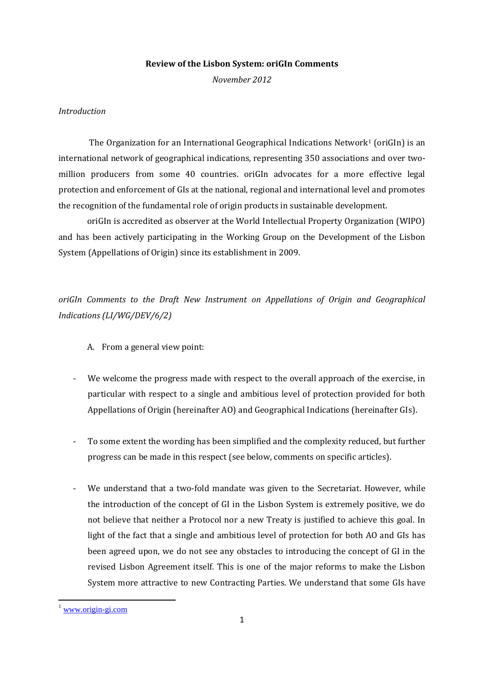## **Review of the Lisbon System: oriGIn Comments**

*November 2012* 

## *Introduction*

The Organization for an International Geographical Indications Network<sup>1</sup> (oriGIn) is an international network of geographical indications, representing 350 associations and over twomillion producers from some 40 countries. oriGIn advocates for a more effective legal protection and enforcement of GIs at the national, regional and international level and promotes the recognition of the fundamental role of origin products in sustainable development.

oriGIn is accredited as observer at the World Intellectual Property Organization (WIPO) and has been actively participating in the Working Group on the Development of the Lisbon System (Appellations of Origin) since its establishment in 2009.

*oriGIn Comments to the Draft New Instrument on Appellations of Origin and Geographical Indications (LI/WG/DEV/6/2)* 

- A. From a general view point:
- We welcome the progress made with respect to the overall approach of the exercise, in particular with respect to a single and ambitious level of protection provided for both Appellations of Origin (hereinafter AO) and Geographical Indications (hereinafter GIs).
- To some extent the wording has been simplified and the complexity reduced, but further progress can be made in this respect (see below, comments on specific articles).
- We understand that a two-fold mandate was given to the Secretariat. However, while the introduction of the concept of GI in the Lisbon System is extremely positive, we do not believe that neither a Protocol nor a new Treaty is justified to achieve this goal. In light of the fact that a single and ambitious level of protection for both AO and GIs has been agreed upon, we do not see any obstacles to introducing the concept of GI in the revised Lisbon Agreement itself. This is one of the major reforms to make the Lisbon System more attractive to new Contracting Parties. We understand that some GIs have

**.** 

[www.origin-gi.com](http://www.origin-gi.com/)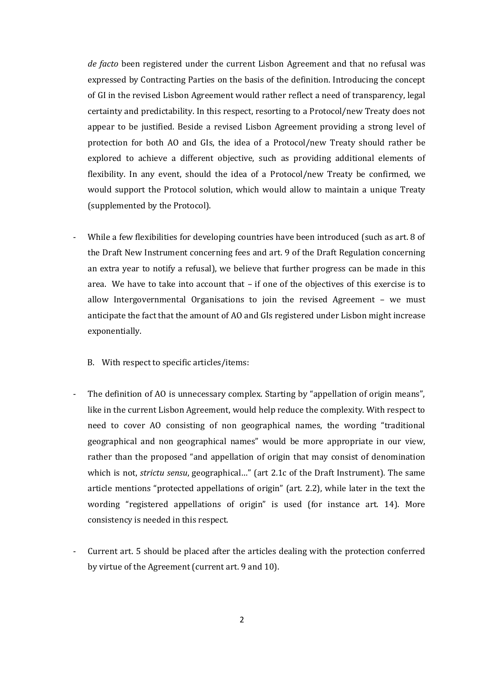*de facto* been registered under the current Lisbon Agreement and that no refusal was expressed by Contracting Parties on the basis of the definition. Introducing the concept of GI in the revised Lisbon Agreement would rather reflect a need of transparency, legal certainty and predictability. In this respect, resorting to a Protocol/new Treaty does not appear to be justified. Beside a revised Lisbon Agreement providing a strong level of protection for both AO and GIs, the idea of a Protocol/new Treaty should rather be explored to achieve a different objective, such as providing additional elements of flexibility. In any event, should the idea of a Protocol/new Treaty be confirmed, we would support the Protocol solution, which would allow to maintain a unique Treaty (supplemented by the Protocol).

- While a few flexibilities for developing countries have been introduced (such as art. 8 of the Draft New Instrument concerning fees and art. 9 of the Draft Regulation concerning an extra year to notify a refusal), we believe that further progress can be made in this area. We have to take into account that – if one of the objectives of this exercise is to allow Intergovernmental Organisations to join the revised Agreement – we must anticipate the fact that the amount of AO and GIs registered under Lisbon might increase exponentially.
	- B. With respect to specific articles/items:
- The definition of AO is unnecessary complex. Starting by "appellation of origin means", like in the current Lisbon Agreement, would help reduce the complexity. With respect to need to cover AO consisting of non geographical names, the wording "traditional geographical and non geographical names" would be more appropriate in our view, rather than the proposed "and appellation of origin that may consist of denomination which is not, *strictu sensu*, geographical…" (art 2.1c of the Draft Instrument). The same article mentions "protected appellations of origin" (art. 2.2), while later in the text the wording "registered appellations of origin" is used (for instance art. 14). More consistency is needed in this respect.
- Current art. 5 should be placed after the articles dealing with the protection conferred by virtue of the Agreement (current art. 9 and 10).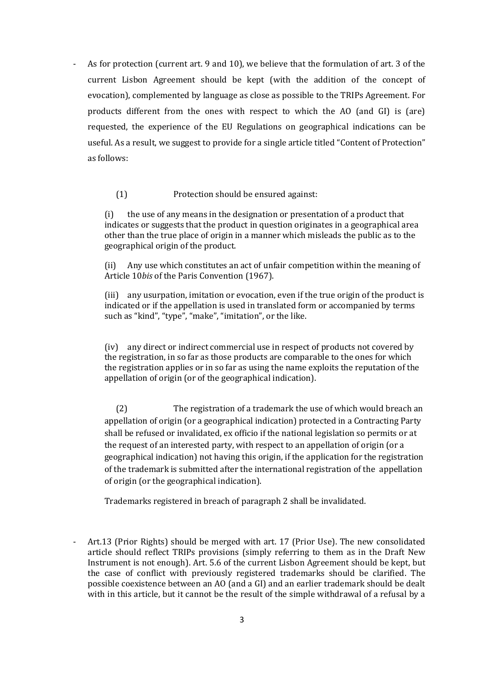As for protection (current art. 9 and 10), we believe that the formulation of art. 3 of the current Lisbon Agreement should be kept (with the addition of the concept of evocation), complemented by language as close as possible to the TRIPs Agreement. For products different from the ones with respect to which the AO (and GI) is (are) requested, the experience of the EU Regulations on geographical indications can be useful. As a result, we suggest to provide for a single article titled "Content of Protection" as follows:

(1) Protection should be ensured against:

(i) the use of any means in the designation or presentation of a product that indicates or suggests that the product in question originates in a geographical area other than the true place of origin in a manner which misleads the public as to the geographical origin of the product.

(ii) Any use which constitutes an act of unfair competition within the meaning of Article 10*bis* of the Paris Convention (1967).

(iii) any usurpation, imitation or evocation, even if the true origin of the product is indicated or if the appellation is used in translated form or accompanied by terms such as "kind", "type", "make", "imitation", or the like.

(iv) any direct or indirect commercial use in respect of products not covered by the registration, in so far as those products are comparable to the ones for which the registration applies or in so far as using the name exploits the reputation of the appellation of origin (or of the geographical indication).

(2) The registration of a trademark the use of which would breach an appellation of origin (or a geographical indication) protected in a Contracting Party shall be refused or invalidated, ex officio if the national legislation so permits or at the request of an interested party, with respect to an appellation of origin (or a geographical indication) not having this origin, if the application for the registration of the trademark is submitted after the international registration of the appellation of origin (or the geographical indication).

Trademarks registered in breach of paragraph 2 shall be invalidated.

Art.13 (Prior Rights) should be merged with art. 17 (Prior Use). The new consolidated article should reflect TRIPs provisions (simply referring to them as in the Draft New Instrument is not enough). Art. 5.6 of the current Lisbon Agreement should be kept, but the case of conflict with previously registered trademarks should be clarified. The possible coexistence between an AO (and a GI) and an earlier trademark should be dealt with in this article, but it cannot be the result of the simple withdrawal of a refusal by a